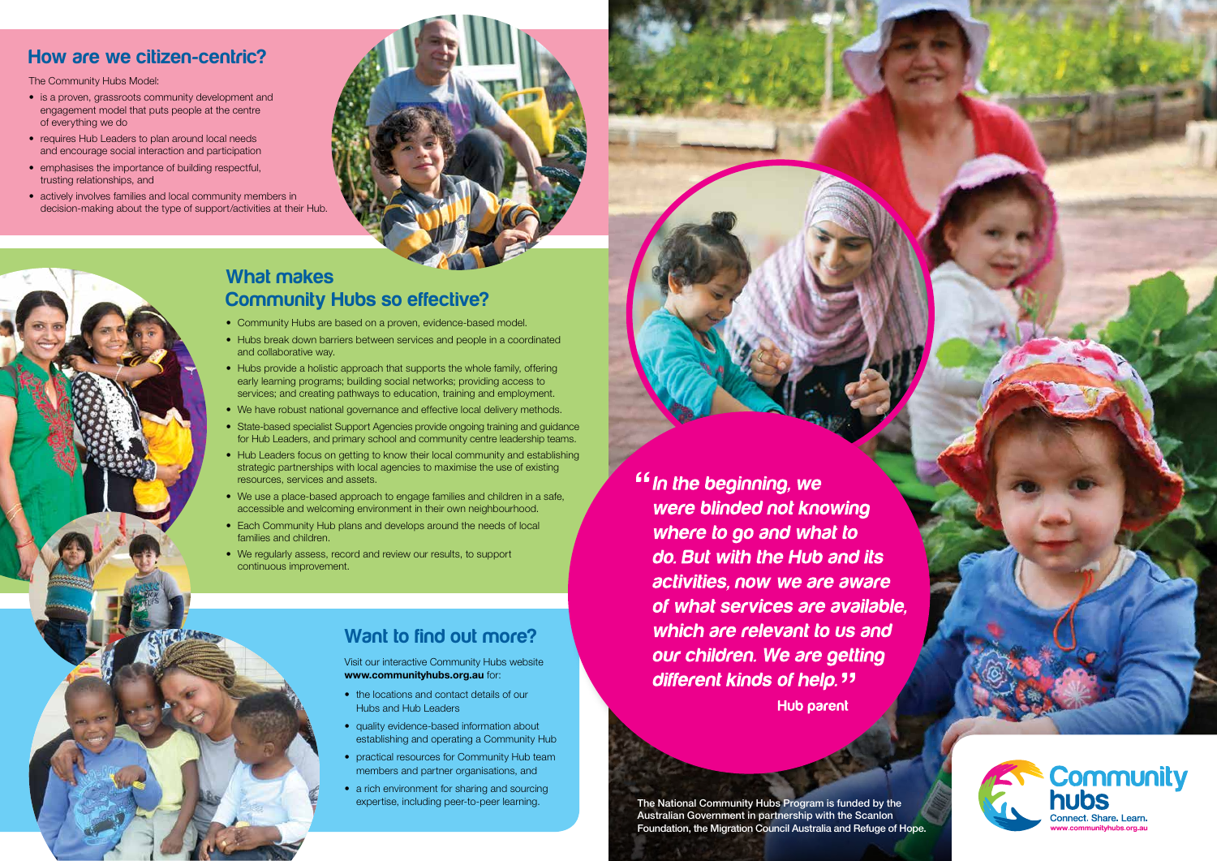## Want to find out more?

Visit our interactive Community Hubs website www.communityhubs.org.au for:

- the locations and contact details of our Hubs and Hub Leaders
- quality evidence-based information about establishing and operating a Community Hub
- practical resources for Community Hub team members and partner organisations, and
- a rich environment for sharing and sourcing expertise, including peer-to-peer learning.

<sup>"</sup> In the beginning, we were blinded not knowing where to go and what to do. But with the Hub and its activities, now we are aware of what services are available. which are relevant to us and our children. We are getting different kinds of help. " **Hub parent** 

#### How are we citizen-centric?

The Community Hubs Model:

- is a proven, grassroots community development and engagement model that puts people at the centre of everything we do
- requires Hub Leaders to plan around local needs and encourage social interaction and participation
- emphasises the importance of building respectful, trusting relationships, and
- actively involves families and local community members in decision-making about the type of support/activities at their Hub.



#### What makes Community Hubs so effective?

- Community Hubs are based on a proven, evidence-based model.
- Hubs break down barriers between services and people in a coordinated and collaborative way.
- Hubs provide a holistic approach that supports the whole family, offering early learning programs; building social networks; providing access to services; and creating pathways to education, training and employment.
- We have robust national governance and effective local delivery methods.
- State-based specialist Support Agencies provide ongoing training and guidance for Hub Leaders, and primary school and community centre leadership teams.
- Hub Leaders focus on getting to know their local community and establishing strategic partnerships with local agencies to maximise the use of existing resources, services and assets.
- We use a place-based approach to engage families and children in a safe, accessible and welcoming environment in their own neighbourhood.
- Each Community Hub plans and develops around the needs of local families and children.
- We regularly assess, record and review our results, to support continuous improvement.

The National Community Hubs Program is funded by the Australian Government in partnership with the Scanlon Foundation, the Migration Council Australia and Refuge of Hope.